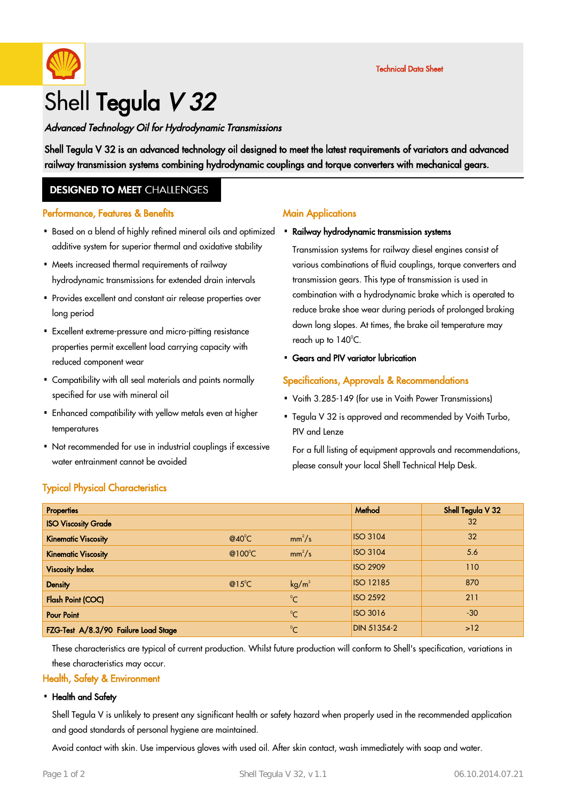

# Advanced Technology Oil for Hydrodynamic Transmissions

Shell Tegula V 32 is an advanced technology oil designed to meet the latest requirements of variators and advanced railway transmission systems combining hydrodynamic couplings and torque converters with mechanical gears.

# **DESIGNED TO MEET CHALLENGES**

## Performance, Features & Benefits

- Based on a blend of highly refined mineral oils and optimized Ra<mark>ilway hydrodynamic transmission systems</mark> additive system for superior thermal and oxidative stability
- Meets increased thermal requirements of railway · hydrodynamic transmissions for extended drain intervals
- Provides excellent and constant air release properties over · long period
- Excellent extreme-pressure and micro-pitting resistance · properties permit excellent load carrying capacity with reduced component wear
- Compatibility with all seal materials and paints normally · specified for use with mineral oil
- Enhanced compatibility with yellow metals even at higher · temperatures
- Not recommended for use in industrial couplings if excessive · water entrainment cannot be avoided

## **Main Applications**

Transmission systems for railway diesel engines consist of various combinations of fluid couplings, torque converters and transmission gears. This type of transmission is used in combination with a hydrodynamic brake which is operated to reduce brake shoe wear during periods of prolonged braking down long slopes. At times, the brake oil temperature may reach up to  $140^{\circ}$ C.

### • Gears and PIV variator lubrication

## Specifications, Approvals & Recommendations

- Voith 3.285-149 (for use in Voith Power Transmissions)
- Tegula V 32 is approved and recommended by Voith Turbo, PIV and Lenze ·

For a full listing of equipment approvals and recommendations, please consult your local Shell Technical Help Desk.

# Typical Physical Characteristics

| <b>Properties</b>                    |                 |                   | Method             | Shell Tegula V 32 |
|--------------------------------------|-----------------|-------------------|--------------------|-------------------|
| <b>ISO Viscosity Grade</b>           |                 |                   |                    | 32                |
| <b>Kinematic Viscosity</b>           | $@40^{\circ}$ C | $mm^2/s$          | <b>ISO 3104</b>    | 32                |
| <b>Kinematic Viscosity</b>           | @100°C          | $mm^2/s$          | <b>ISO 3104</b>    | 5.6               |
| <b>Viscosity Index</b>               |                 |                   | <b>ISO 2909</b>    | 110               |
| <b>Density</b>                       | $@15^{\circ}$ C | kg/m <sup>3</sup> | <b>ISO 12185</b>   | 870               |
| <b>Flash Point (COC)</b>             |                 | $^{\circ}C$       | <b>ISO 2592</b>    | 211               |
| <b>Pour Point</b>                    |                 | $\rm ^{0}C$       | <b>ISO 3016</b>    | $-30$             |
| FZG-Test A/8.3/90 Failure Load Stage |                 | $^{\circ}C$       | <b>DIN 51354-2</b> | $>12$             |

These characteristics are typical of current production. Whilst future production will conform to Shell's specification, variations in these characteristics may occur.

### Health, Safety & Environment

#### • Health and Safety

Shell Tegula V is unlikely to present any significant health or safety hazard when properly used in the recommended application and good standards of personal hygiene are maintained.

Avoid contact with skin. Use impervious gloves with used oil. After skin contact, wash immediately with soap and water.